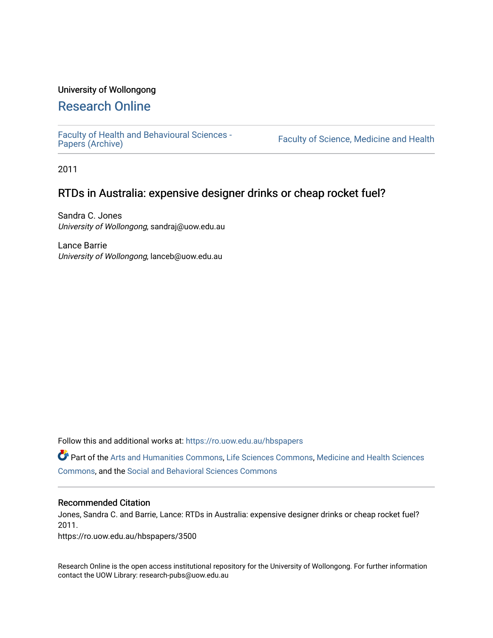### University of Wollongong

# [Research Online](https://ro.uow.edu.au/)

[Faculty of Health and Behavioural Sciences -](https://ro.uow.edu.au/hbspapers)<br>Papers (Archive)

Faculty of Science, Medicine and Health

2011

# RTDs in Australia: expensive designer drinks or cheap rocket fuel?

Sandra C. Jones University of Wollongong, sandraj@uow.edu.au

Lance Barrie University of Wollongong, lanceb@uow.edu.au

Follow this and additional works at: [https://ro.uow.edu.au/hbspapers](https://ro.uow.edu.au/hbspapers?utm_source=ro.uow.edu.au%2Fhbspapers%2F3500&utm_medium=PDF&utm_campaign=PDFCoverPages) 

Part of the [Arts and Humanities Commons,](http://network.bepress.com/hgg/discipline/438?utm_source=ro.uow.edu.au%2Fhbspapers%2F3500&utm_medium=PDF&utm_campaign=PDFCoverPages) [Life Sciences Commons,](http://network.bepress.com/hgg/discipline/1016?utm_source=ro.uow.edu.au%2Fhbspapers%2F3500&utm_medium=PDF&utm_campaign=PDFCoverPages) [Medicine and Health Sciences](http://network.bepress.com/hgg/discipline/648?utm_source=ro.uow.edu.au%2Fhbspapers%2F3500&utm_medium=PDF&utm_campaign=PDFCoverPages) [Commons](http://network.bepress.com/hgg/discipline/648?utm_source=ro.uow.edu.au%2Fhbspapers%2F3500&utm_medium=PDF&utm_campaign=PDFCoverPages), and the [Social and Behavioral Sciences Commons](http://network.bepress.com/hgg/discipline/316?utm_source=ro.uow.edu.au%2Fhbspapers%2F3500&utm_medium=PDF&utm_campaign=PDFCoverPages)

#### Recommended Citation

Jones, Sandra C. and Barrie, Lance: RTDs in Australia: expensive designer drinks or cheap rocket fuel? 2011.

https://ro.uow.edu.au/hbspapers/3500

Research Online is the open access institutional repository for the University of Wollongong. For further information contact the UOW Library: research-pubs@uow.edu.au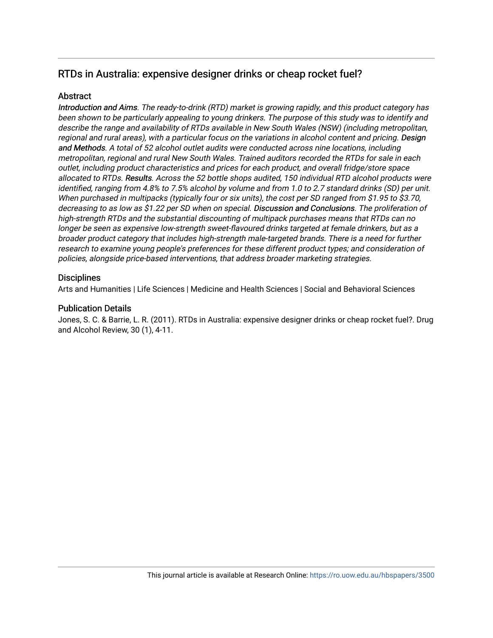# RTDs in Australia: expensive designer drinks or cheap rocket fuel?

## **Abstract**

Introduction and Aims. The ready-to-drink (RTD) market is growing rapidly, and this product category has been shown to be particularly appealing to young drinkers. The purpose of this study was to identify and describe the range and availability of RTDs available in New South Wales (NSW) (including metropolitan, regional and rural areas), with a particular focus on the variations in alcohol content and pricing. Design and Methods. A total of 52 alcohol outlet audits were conducted across nine locations, including metropolitan, regional and rural New South Wales. Trained auditors recorded the RTDs for sale in each outlet, including product characteristics and prices for each product, and overall fridge/store space allocated to RTDs. Results. Across the 52 bottle shops audited, 150 individual RTD alcohol products were identified, ranging from 4.8% to 7.5% alcohol by volume and from 1.0 to 2.7 standard drinks (SD) per unit. When purchased in multipacks (typically four or six units), the cost per SD ranged from \$1.95 to \$3.70, decreasing to as low as \$1.22 per SD when on special. Discussion and Conclusions. The proliferation of high-strength RTDs and the substantial discounting of multipack purchases means that RTDs can no longer be seen as expensive low-strength sweet-flavoured drinks targeted at female drinkers, but as a broader product category that includes high-strength male-targeted brands. There is a need for further research to examine young people's preferences for these different product types; and consideration of policies, alongside price-based interventions, that address broader marketing strategies.

### **Disciplines**

Arts and Humanities | Life Sciences | Medicine and Health Sciences | Social and Behavioral Sciences

### Publication Details

Jones, S. C. & Barrie, L. R. (2011). RTDs in Australia: expensive designer drinks or cheap rocket fuel?. Drug and Alcohol Review, 30 (1), 4-11.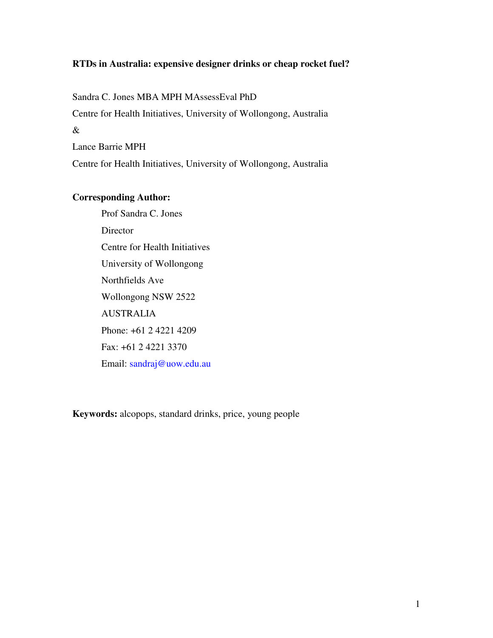# **RTDs in Australia: expensive designer drinks or cheap rocket fuel?**

Sandra C. Jones MBA MPH MAssessEval PhD Centre for Health Initiatives, University of Wollongong, Australia & Lance Barrie MPH Centre for Health Initiatives, University of Wollongong, Australia

# **Corresponding Author:**

Prof Sandra C. Jones Director Centre for Health Initiatives University of Wollongong Northfields Ave Wollongong NSW 2522 AUSTRALIA Phone: +61 2 4221 4209 Fax: +61 2 4221 3370 Email: sandraj@uow.edu.au

**Keywords:** alcopops, standard drinks, price, young people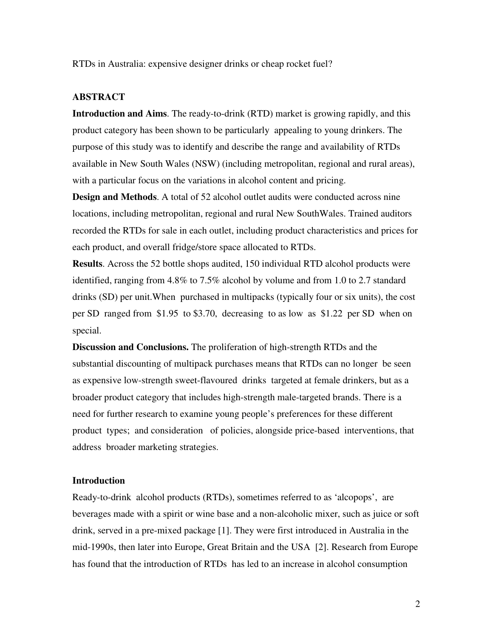RTDs in Australia: expensive designer drinks or cheap rocket fuel?

#### **ABSTRACT**

**Introduction and Aims**. The ready-to-drink (RTD) market is growing rapidly, and this product category has been shown to be particularly appealing to young drinkers. The purpose of this study was to identify and describe the range and availability of RTDs available in New South Wales (NSW) (including metropolitan, regional and rural areas), with a particular focus on the variations in alcohol content and pricing.

**Design and Methods**. A total of 52 alcohol outlet audits were conducted across nine locations, including metropolitan, regional and rural New SouthWales. Trained auditors recorded the RTDs for sale in each outlet, including product characteristics and prices for each product, and overall fridge/store space allocated to RTDs.

**Results**. Across the 52 bottle shops audited, 150 individual RTD alcohol products were identified, ranging from 4.8% to 7.5% alcohol by volume and from 1.0 to 2.7 standard drinks (SD) per unit.When purchased in multipacks (typically four or six units), the cost per SD ranged from \$1.95 to \$3.70, decreasing to as low as \$1.22 per SD when on special.

**Discussion and Conclusions.** The proliferation of high-strength RTDs and the substantial discounting of multipack purchases means that RTDs can no longer be seen as expensive low-strength sweet-flavoured drinks targeted at female drinkers, but as a broader product category that includes high-strength male-targeted brands. There is a need for further research to examine young people's preferences for these different product types; and consideration of policies, alongside price-based interventions, that address broader marketing strategies.

#### **Introduction**

Ready-to-drink alcohol products (RTDs), sometimes referred to as 'alcopops', are beverages made with a spirit or wine base and a non-alcoholic mixer, such as juice or soft drink, served in a pre-mixed package [1]. They were first introduced in Australia in the mid-1990s, then later into Europe, Great Britain and the USA [2]. Research from Europe has found that the introduction of RTDs has led to an increase in alcohol consumption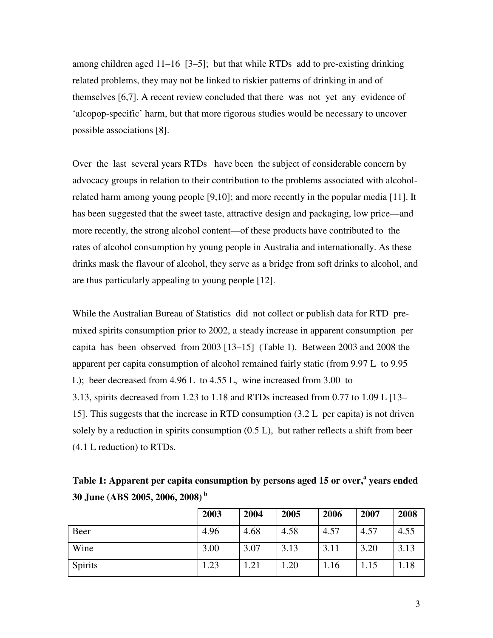among children aged  $11-16$  [3-5]; but that while RTDs add to pre-existing drinking related problems, they may not be linked to riskier patterns of drinking in and of themselves [6,7]. A recent review concluded that there was not yet any evidence of 'alcopop-specific' harm, but that more rigorous studies would be necessary to uncover possible associations [8].

Over the last several years RTDs have been the subject of considerable concern by advocacy groups in relation to their contribution to the problems associated with alcoholrelated harm among young people [9,10]; and more recently in the popular media [11]. It has been suggested that the sweet taste, attractive design and packaging, low price—and more recently, the strong alcohol content—of these products have contributed to the rates of alcohol consumption by young people in Australia and internationally. As these drinks mask the flavour of alcohol, they serve as a bridge from soft drinks to alcohol, and are thus particularly appealing to young people [12].

While the Australian Bureau of Statistics did not collect or publish data for RTD premixed spirits consumption prior to 2002, a steady increase in apparent consumption per capita has been observed from 2003 [13–15] (Table 1). Between 2003 and 2008 the apparent per capita consumption of alcohol remained fairly static (from 9.97 L to 9.95 L); beer decreased from 4.96 L to 4.55 L, wine increased from 3.00 to 3.13, spirits decreased from 1.23 to 1.18 and RTDs increased from 0.77 to 1.09 L [13– 15]. This suggests that the increase in RTD consumption (3.2 L per capita) is not driven solely by a reduction in spirits consumption (0.5 L), but rather reflects a shift from beer (4.1 L reduction) to RTDs.

| Table 1: Apparent per capita consumption by persons aged 15 or over, <sup>a</sup> years ended |  |
|-----------------------------------------------------------------------------------------------|--|
| 30 June (ABS 2005, 2006, 2008) <sup>b</sup>                                                   |  |

|                | 2003 | 2004 | 2005 | 2006 | 2007 | 2008 |
|----------------|------|------|------|------|------|------|
| Beer           | 4.96 | 4.68 | 4.58 | 4.57 | 4.57 | 4.55 |
| Wine           | 3.00 | 3.07 | 3.13 | 3.11 | 3.20 | 3.13 |
| <b>Spirits</b> | 1.23 | 1.21 | .20  | 1.16 | 1.15 | .18  |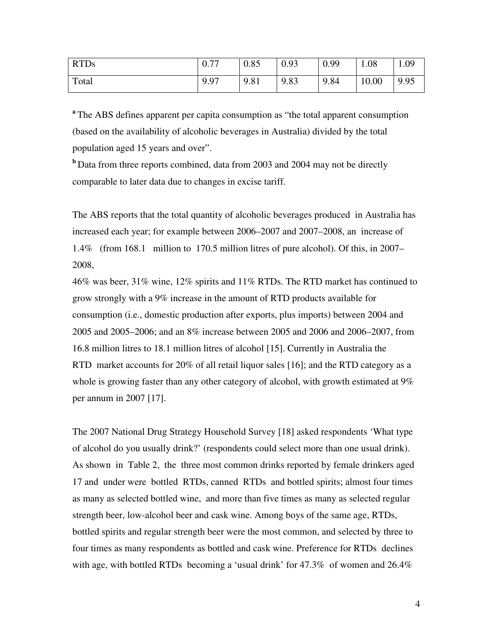| <b>RTDs</b> | 0.77 | 0.85 | 0.93 | 0.99 | 1.08  | 1.09 |
|-------------|------|------|------|------|-------|------|
| Total       | 9.97 | 9.81 | 9.83 | 9.84 | 10.00 | 9.95 |

**<sup>a</sup>**The ABS defines apparent per capita consumption as "the total apparent consumption (based on the availability of alcoholic beverages in Australia) divided by the total population aged 15 years and over".

<sup>b</sup> Data from three reports combined, data from 2003 and 2004 may not be directly comparable to later data due to changes in excise tariff.

The ABS reports that the total quantity of alcoholic beverages produced in Australia has increased each year; for example between 2006–2007 and 2007–2008, an increase of 1.4% (from 168.1 million to 170.5 million litres of pure alcohol). Of this, in 2007– 2008,

46% was beer, 31% wine, 12% spirits and 11% RTDs. The RTD market has continued to grow strongly with a 9% increase in the amount of RTD products available for consumption (i.e., domestic production after exports, plus imports) between 2004 and 2005 and 2005–2006; and an 8% increase between 2005 and 2006 and 2006–2007, from 16.8 million litres to 18.1 million litres of alcohol [15]. Currently in Australia the RTD market accounts for 20% of all retail liquor sales [16]; and the RTD category as a whole is growing faster than any other category of alcohol, with growth estimated at 9% per annum in 2007 [17].

The 2007 National Drug Strategy Household Survey [18] asked respondents 'What type of alcohol do you usually drink?' (respondents could select more than one usual drink). As shown in Table 2, the three most common drinks reported by female drinkers aged 17 and under were bottled RTDs, canned RTDs and bottled spirits; almost four times as many as selected bottled wine, and more than five times as many as selected regular strength beer, low-alcohol beer and cask wine. Among boys of the same age, RTDs, bottled spirits and regular strength beer were the most common, and selected by three to four times as many respondents as bottled and cask wine. Preference for RTDs declines with age, with bottled RTDs becoming a 'usual drink' for 47.3% of women and 26.4%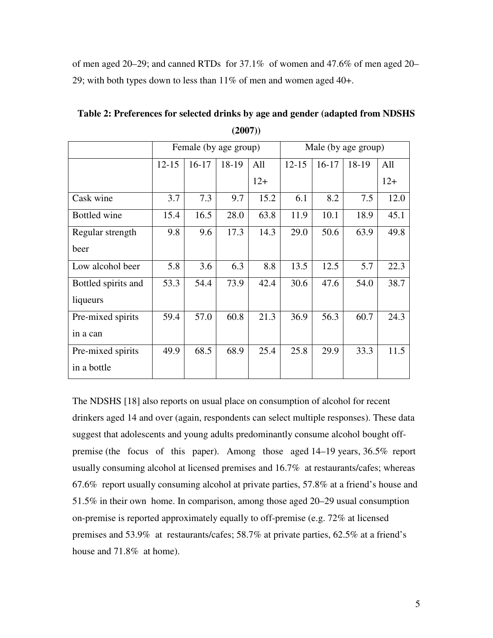of men aged 20–29; and canned RTDs for 37.1% of women and 47.6% of men aged 20– 29; with both types down to less than  $11\%$  of men and women aged  $40+$ .

|                     | Female (by age group) |         |       |       | Male (by age group) |         |       |       |
|---------------------|-----------------------|---------|-------|-------|---------------------|---------|-------|-------|
|                     | $12 - 15$             | $16-17$ | 18-19 | All   | $12 - 15$           | $16-17$ | 18-19 | All   |
|                     |                       |         |       | $12+$ |                     |         |       | $12+$ |
| Cask wine           | 3.7                   | 7.3     | 9.7   | 15.2  | 6.1                 | 8.2     | 7.5   | 12.0  |
| Bottled wine        | 15.4                  | 16.5    | 28.0  | 63.8  | 11.9                | 10.1    | 18.9  | 45.1  |
| Regular strength    | 9.8                   | 9.6     | 17.3  | 14.3  | 29.0                | 50.6    | 63.9  | 49.8  |
| beer                |                       |         |       |       |                     |         |       |       |
| Low alcohol beer    | 5.8                   | 3.6     | 6.3   | 8.8   | 13.5                | 12.5    | 5.7   | 22.3  |
| Bottled spirits and | 53.3                  | 54.4    | 73.9  | 42.4  | 30.6                | 47.6    | 54.0  | 38.7  |
| liqueurs            |                       |         |       |       |                     |         |       |       |
| Pre-mixed spirits   | 59.4                  | 57.0    | 60.8  | 21.3  | 36.9                | 56.3    | 60.7  | 24.3  |
| in a can            |                       |         |       |       |                     |         |       |       |
| Pre-mixed spirits   | 49.9                  | 68.5    | 68.9  | 25.4  | 25.8                | 29.9    | 33.3  | 11.5  |
| in a bottle         |                       |         |       |       |                     |         |       |       |

**Table 2: Preferences for selected drinks by age and gender (adapted from NDSHS (2007))** 

The NDSHS [18] also reports on usual place on consumption of alcohol for recent drinkers aged 14 and over (again, respondents can select multiple responses). These data suggest that adolescents and young adults predominantly consume alcohol bought offpremise (the focus of this paper). Among those aged 14–19 years, 36.5% report usually consuming alcohol at licensed premises and 16.7% at restaurants/cafes; whereas 67.6% report usually consuming alcohol at private parties, 57.8% at a friend's house and 51.5% in their own home. In comparison, among those aged 20–29 usual consumption on-premise is reported approximately equally to off-premise (e.g. 72% at licensed premises and 53.9% at restaurants/cafes; 58.7% at private parties, 62.5% at a friend's house and 71.8% at home).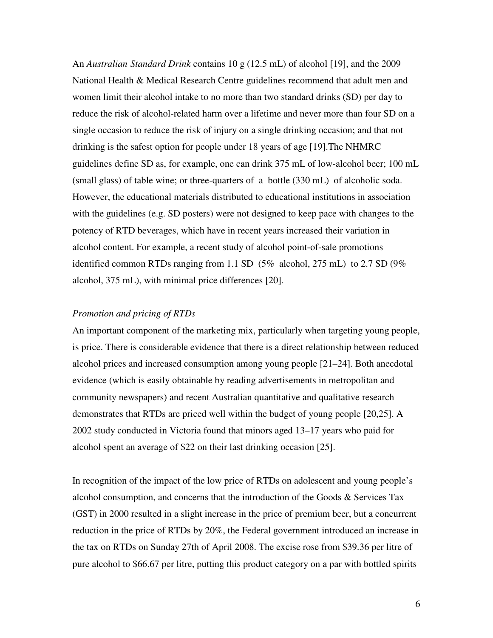An *Australian Standard Drink* contains 10 g (12.5 mL) of alcohol [19], and the 2009 National Health & Medical Research Centre guidelines recommend that adult men and women limit their alcohol intake to no more than two standard drinks (SD) per day to reduce the risk of alcohol-related harm over a lifetime and never more than four SD on a single occasion to reduce the risk of injury on a single drinking occasion; and that not drinking is the safest option for people under 18 years of age [19].The NHMRC guidelines define SD as, for example, one can drink 375 mL of low-alcohol beer; 100 mL (small glass) of table wine; or three-quarters of a bottle (330 mL) of alcoholic soda. However, the educational materials distributed to educational institutions in association with the guidelines (e.g. SD posters) were not designed to keep pace with changes to the potency of RTD beverages, which have in recent years increased their variation in alcohol content. For example, a recent study of alcohol point-of-sale promotions identified common RTDs ranging from 1.1 SD  $(5\%$  alcohol, 275 mL) to 2.7 SD (9%) alcohol, 375 mL), with minimal price differences [20].

#### *Promotion and pricing of RTDs*

An important component of the marketing mix, particularly when targeting young people, is price. There is considerable evidence that there is a direct relationship between reduced alcohol prices and increased consumption among young people [21–24]. Both anecdotal evidence (which is easily obtainable by reading advertisements in metropolitan and community newspapers) and recent Australian quantitative and qualitative research demonstrates that RTDs are priced well within the budget of young people [20,25]. A 2002 study conducted in Victoria found that minors aged 13–17 years who paid for alcohol spent an average of \$22 on their last drinking occasion [25].

In recognition of the impact of the low price of RTDs on adolescent and young people's alcohol consumption, and concerns that the introduction of the Goods & Services Tax (GST) in 2000 resulted in a slight increase in the price of premium beer, but a concurrent reduction in the price of RTDs by 20%, the Federal government introduced an increase in the tax on RTDs on Sunday 27th of April 2008. The excise rose from \$39.36 per litre of pure alcohol to \$66.67 per litre, putting this product category on a par with bottled spirits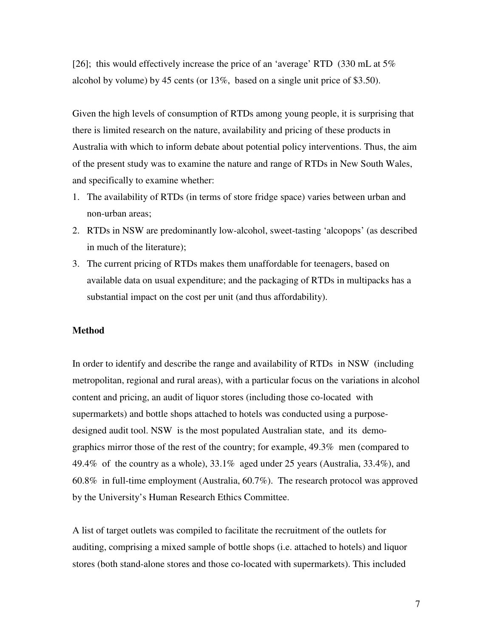[26]; this would effectively increase the price of an 'average' RTD (330 mL at 5% alcohol by volume) by 45 cents (or 13%, based on a single unit price of \$3.50).

Given the high levels of consumption of RTDs among young people, it is surprising that there is limited research on the nature, availability and pricing of these products in Australia with which to inform debate about potential policy interventions. Thus, the aim of the present study was to examine the nature and range of RTDs in New South Wales, and specifically to examine whether:

- 1. The availability of RTDs (in terms of store fridge space) varies between urban and non-urban areas;
- 2. RTDs in NSW are predominantly low-alcohol, sweet-tasting 'alcopops' (as described in much of the literature);
- 3. The current pricing of RTDs makes them unaffordable for teenagers, based on available data on usual expenditure; and the packaging of RTDs in multipacks has a substantial impact on the cost per unit (and thus affordability).

#### **Method**

In order to identify and describe the range and availability of RTDs in NSW (including metropolitan, regional and rural areas), with a particular focus on the variations in alcohol content and pricing, an audit of liquor stores (including those co-located with supermarkets) and bottle shops attached to hotels was conducted using a purposedesigned audit tool. NSW is the most populated Australian state, and its demographics mirror those of the rest of the country; for example, 49.3% men (compared to 49.4% of the country as a whole), 33.1% aged under 25 years (Australia, 33.4%), and 60.8% in full-time employment (Australia, 60.7%). The research protocol was approved by the University's Human Research Ethics Committee.

A list of target outlets was compiled to facilitate the recruitment of the outlets for auditing, comprising a mixed sample of bottle shops (i.e. attached to hotels) and liquor stores (both stand-alone stores and those co-located with supermarkets). This included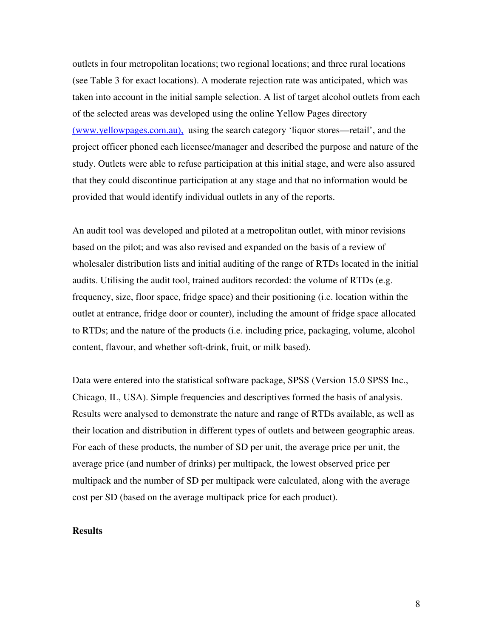outlets in four metropolitan locations; two regional locations; and three rural locations (see Table 3 for exact locations). A moderate rejection rate was anticipated, which was taken into account in the initial sample selection. A list of target alcohol outlets from each of the selected areas was developed using the online Yellow Pages directory (www.yellowpages.com.au), using the search category 'liquor stores—retail', and the project officer phoned each licensee/manager and described the purpose and nature of the study. Outlets were able to refuse participation at this initial stage, and were also assured that they could discontinue participation at any stage and that no information would be provided that would identify individual outlets in any of the reports.

An audit tool was developed and piloted at a metropolitan outlet, with minor revisions based on the pilot; and was also revised and expanded on the basis of a review of wholesaler distribution lists and initial auditing of the range of RTDs located in the initial audits. Utilising the audit tool, trained auditors recorded: the volume of RTDs (e.g. frequency, size, floor space, fridge space) and their positioning (i.e. location within the outlet at entrance, fridge door or counter), including the amount of fridge space allocated to RTDs; and the nature of the products (i.e. including price, packaging, volume, alcohol content, flavour, and whether soft-drink, fruit, or milk based).

Data were entered into the statistical software package, SPSS (Version 15.0 SPSS Inc., Chicago, IL, USA). Simple frequencies and descriptives formed the basis of analysis. Results were analysed to demonstrate the nature and range of RTDs available, as well as their location and distribution in different types of outlets and between geographic areas. For each of these products, the number of SD per unit, the average price per unit, the average price (and number of drinks) per multipack, the lowest observed price per multipack and the number of SD per multipack were calculated, along with the average cost per SD (based on the average multipack price for each product).

#### **Results**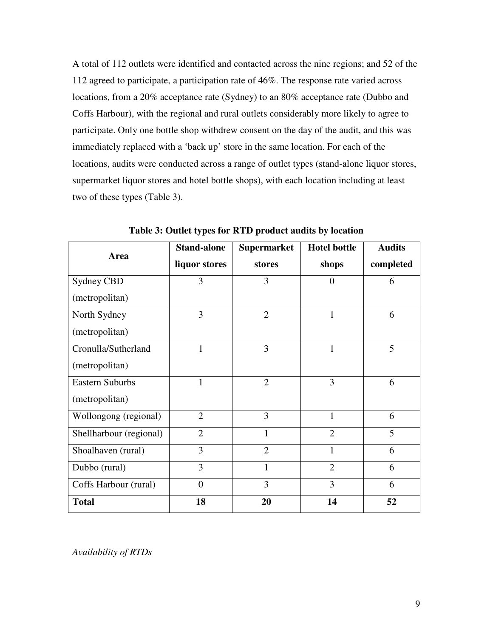A total of 112 outlets were identified and contacted across the nine regions; and 52 of the 112 agreed to participate, a participation rate of 46%. The response rate varied across locations, from a 20% acceptance rate (Sydney) to an 80% acceptance rate (Dubbo and Coffs Harbour), with the regional and rural outlets considerably more likely to agree to participate. Only one bottle shop withdrew consent on the day of the audit, and this was immediately replaced with a 'back up' store in the same location. For each of the locations, audits were conducted across a range of outlet types (stand-alone liquor stores, supermarket liquor stores and hotel bottle shops), with each location including at least two of these types (Table 3).

| Area                    | <b>Stand-alone</b> | <b>Supermarket</b> | <b>Hotel bottle</b> | <b>Audits</b> |
|-------------------------|--------------------|--------------------|---------------------|---------------|
|                         | liquor stores      | <b>stores</b>      | shops               | completed     |
| Sydney CBD              | 3                  | 3                  | $\overline{0}$      | 6             |
| (metropolitan)          |                    |                    |                     |               |
| North Sydney            | 3                  | $\overline{2}$     | $\mathbf{1}$        | 6             |
| (metropolitan)          |                    |                    |                     |               |
| Cronulla/Sutherland     | $\mathbf{1}$       | 3                  | $\mathbf{1}$        | 5             |
| (metropolitan)          |                    |                    |                     |               |
| <b>Eastern Suburbs</b>  | $\mathbf{1}$       | $\overline{2}$     | 3                   | 6             |
| (metropolitan)          |                    |                    |                     |               |
| Wollongong (regional)   | $\overline{2}$     | 3                  | $\mathbf{1}$        | 6             |
| Shellharbour (regional) | $\overline{2}$     | $\mathbf{1}$       | $\overline{2}$      | 5             |
| Shoalhaven (rural)      | 3                  | $\overline{2}$     | 1                   | 6             |
| Dubbo (rural)           | 3                  | $\mathbf{1}$       | $\overline{2}$      | 6             |
| Coffs Harbour (rural)   | $\overline{0}$     | 3                  | 3                   | 6             |
| <b>Total</b>            | 18                 | 20                 | 14                  | 52            |

**Table 3: Outlet types for RTD product audits by location**

*Availability of RTDs*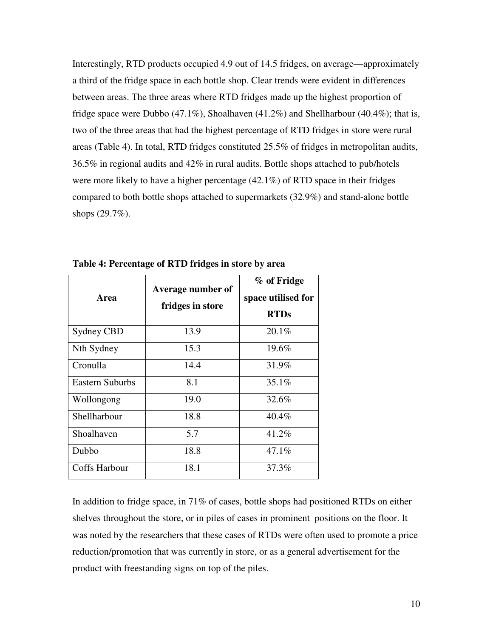Interestingly, RTD products occupied 4.9 out of 14.5 fridges, on average—approximately a third of the fridge space in each bottle shop. Clear trends were evident in differences between areas. The three areas where RTD fridges made up the highest proportion of fridge space were Dubbo (47.1%), Shoalhaven (41.2%) and Shellharbour (40.4%); that is, two of the three areas that had the highest percentage of RTD fridges in store were rural areas (Table 4). In total, RTD fridges constituted 25.5% of fridges in metropolitan audits, 36.5% in regional audits and 42% in rural audits. Bottle shops attached to pub/hotels were more likely to have a higher percentage  $(42.1\%)$  of RTD space in their fridges compared to both bottle shops attached to supermarkets (32.9%) and stand-alone bottle shops (29.7%).

| <b>Area</b>            | Average number of<br>fridges in store | % of Fridge<br>space utilised for<br><b>RTDs</b> |
|------------------------|---------------------------------------|--------------------------------------------------|
| Sydney CBD             | 13.9                                  | 20.1%                                            |
| Nth Sydney             | 15.3                                  | 19.6%                                            |
| Cronulla               | 14.4                                  | 31.9%                                            |
| <b>Eastern Suburbs</b> | 8.1                                   | 35.1%                                            |
| Wollongong             | 19.0                                  | 32.6%                                            |
| Shellharbour           | 18.8                                  | 40.4%                                            |
| Shoalhaven             | 5.7                                   | 41.2%                                            |
| Dubbo                  | 18.8                                  | 47.1%                                            |
| Coffs Harbour          | 18.1                                  | 37.3%                                            |

**Table 4: Percentage of RTD fridges in store by area** 

In addition to fridge space, in 71% of cases, bottle shops had positioned RTDs on either shelves throughout the store, or in piles of cases in prominent positions on the floor. It was noted by the researchers that these cases of RTDs were often used to promote a price reduction/promotion that was currently in store, or as a general advertisement for the product with freestanding signs on top of the piles.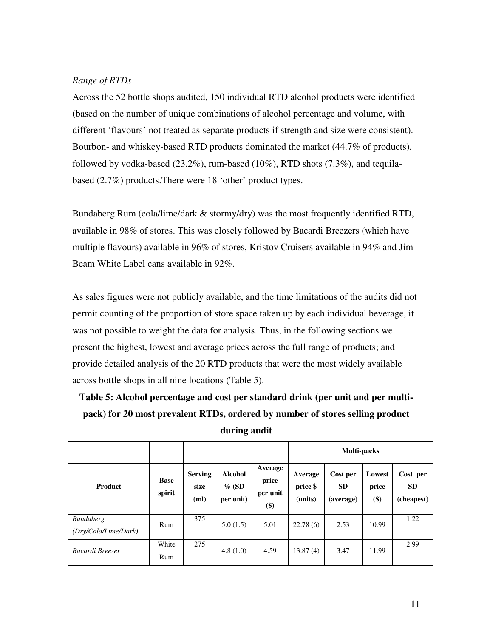### *Range of RTDs*

Across the 52 bottle shops audited, 150 individual RTD alcohol products were identified (based on the number of unique combinations of alcohol percentage and volume, with different 'flavours' not treated as separate products if strength and size were consistent). Bourbon- and whiskey-based RTD products dominated the market (44.7% of products), followed by vodka-based (23.2%), rum-based (10%), RTD shots (7.3%), and tequilabased (2.7%) products.There were 18 'other' product types.

Bundaberg Rum (cola/lime/dark & stormy/dry) was the most frequently identified RTD, available in 98% of stores. This was closely followed by Bacardi Breezers (which have multiple flavours) available in 96% of stores, Kristov Cruisers available in 94% and Jim Beam White Label cans available in 92%.

As sales figures were not publicly available, and the time limitations of the audits did not permit counting of the proportion of store space taken up by each individual beverage, it was not possible to weight the data for analysis. Thus, in the following sections we present the highest, lowest and average prices across the full range of products; and provide detailed analysis of the 20 RTD products that were the most widely available across bottle shops in all nine locations (Table 5).

**Table 5: Alcohol percentage and cost per standard drink (per unit and per multipack) for 20 most prevalent RTDs, ordered by number of stores selling product** 

|                                          |                       |                                |                                         |                                     | Multi-packs                    |                                    |                        |                                     |
|------------------------------------------|-----------------------|--------------------------------|-----------------------------------------|-------------------------------------|--------------------------------|------------------------------------|------------------------|-------------------------------------|
| <b>Product</b>                           | <b>Base</b><br>spirit | <b>Serving</b><br>size<br>(ml) | <b>Alcohol</b><br>$\%$ (SD<br>per unit) | Average<br>price<br>per unit<br>\$) | Average<br>price \$<br>(units) | Cost per<br><b>SD</b><br>(average) | Lowest<br>price<br>\$) | Cost per<br><b>SD</b><br>(cheapest) |
| <b>Bundaberg</b><br>(Dry/Cola/Lime/Dark) | Rum                   | 375                            | 5.0(1.5)                                | 5.01                                | 22.78(6)                       | 2.53                               | 10.99                  | 1.22                                |
| Bacardi Breezer                          | White<br>Rum          | 275                            | 4.8(1.0)                                | 4.59                                | 13.87(4)                       | 3.47                               | 11.99                  | 2.99                                |

**during audit**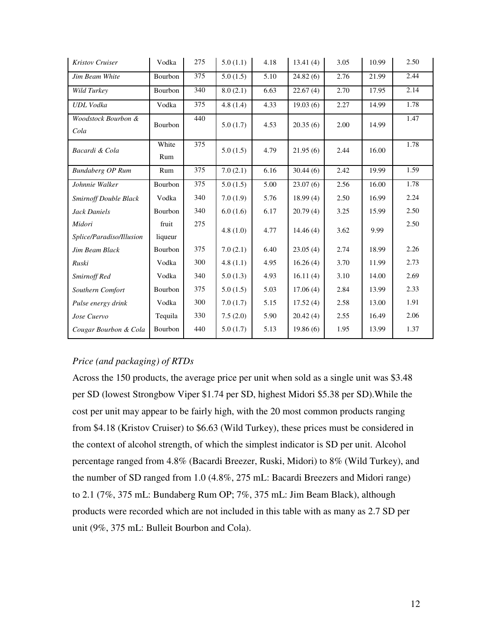| Kristov Cruiser                    | Vodka            | 275 | 5.0(1.1) | 4.18 | 13.41 $(4)$ | 3.05 | 10.99 | 2.50 |
|------------------------------------|------------------|-----|----------|------|-------------|------|-------|------|
| Jim Beam White                     | Bourbon          | 375 | 5.0(1.5) | 5.10 | 24.82(6)    | 2.76 | 21.99 | 2.44 |
| Wild Turkey                        | Bourbon          | 340 | 8.0(2.1) | 6.63 | 22.67(4)    | 2.70 | 17.95 | 2.14 |
| <b>UDL</b> Vodka                   | Vodka            | 375 | 4.8(1.4) | 4.33 | 19.03(6)    | 2.27 | 14.99 | 1.78 |
| Woodstock Bourbon &<br>Cola        | Bourbon          | 440 | 5.0(1.7) | 4.53 | 20.35(6)    | 2.00 | 14.99 | 1.47 |
| Bacardi & Cola                     | White<br>Rum     | 375 | 5.0(1.5) | 4.79 | 21.95(6)    | 2.44 | 16.00 | 1.78 |
| <b>Bundaberg OP Rum</b>            | Rum              | 375 | 7.0(2.1) | 6.16 | 30.44(6)    | 2.42 | 19.99 | 1.59 |
| Johnnie Walker                     | Bourbon          | 375 | 5.0(1.5) | 5.00 | 23.07(6)    | 2.56 | 16.00 | 1.78 |
| Smirnoff Double Black              | Vodka            | 340 | 7.0(1.9) | 5.76 | 18.99(4)    | 2.50 | 16.99 | 2.24 |
| Jack Daniels                       | Bourbon          | 340 | 6.0(1.6) | 6.17 | 20.79(4)    | 3.25 | 15.99 | 2.50 |
| Midori<br>Splice/Paradiso/Illusion | fruit<br>liqueur | 275 | 4.8(1.0) | 4.77 | 14.46(4)    | 3.62 | 9.99  | 2.50 |
| <b>Jim Beam Black</b>              | Bourbon          | 375 | 7.0(2.1) | 6.40 | 23.05(4)    | 2.74 | 18.99 | 2.26 |
| Ruski                              | Vodka            | 300 | 4.8(1.1) | 4.95 | 16.26(4)    | 3.70 | 11.99 | 2.73 |
| Smirnoff Red                       | Vodka            | 340 | 5.0(1.3) | 4.93 | 16.11(4)    | 3.10 | 14.00 | 2.69 |
| Southern Comfort                   | Bourbon          | 375 | 5.0(1.5) | 5.03 | 17.06(4)    | 2.84 | 13.99 | 2.33 |
| Pulse energy drink                 | Vodka            | 300 | 7.0(1.7) | 5.15 | 17.52(4)    | 2.58 | 13.00 | 1.91 |
| Jose Cuervo                        | Tequila          | 330 | 7.5(2.0) | 5.90 | 20.42(4)    | 2.55 | 16.49 | 2.06 |
| Cougar Bourbon & Cola              | Bourbon          | 440 | 5.0(1.7) | 5.13 | 19.86(6)    | 1.95 | 13.99 | 1.37 |

## *Price (and packaging) of RTDs*

Across the 150 products, the average price per unit when sold as a single unit was \$3.48 per SD (lowest Strongbow Viper \$1.74 per SD, highest Midori \$5.38 per SD).While the cost per unit may appear to be fairly high, with the 20 most common products ranging from \$4.18 (Kristov Cruiser) to \$6.63 (Wild Turkey), these prices must be considered in the context of alcohol strength, of which the simplest indicator is SD per unit. Alcohol percentage ranged from 4.8% (Bacardi Breezer, Ruski, Midori) to 8% (Wild Turkey), and the number of SD ranged from 1.0 (4.8%, 275 mL: Bacardi Breezers and Midori range) to 2.1 (7%, 375 mL: Bundaberg Rum OP; 7%, 375 mL: Jim Beam Black), although products were recorded which are not included in this table with as many as 2.7 SD per unit (9%, 375 mL: Bulleit Bourbon and Cola).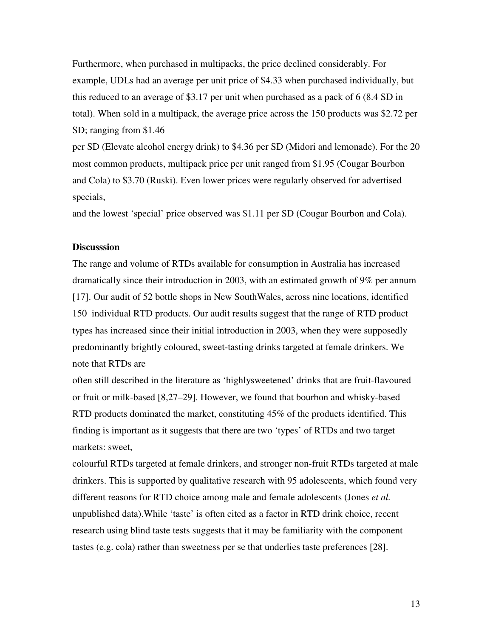Furthermore, when purchased in multipacks, the price declined considerably. For example, UDLs had an average per unit price of \$4.33 when purchased individually, but this reduced to an average of \$3.17 per unit when purchased as a pack of 6 (8.4 SD in total). When sold in a multipack, the average price across the 150 products was \$2.72 per SD; ranging from \$1.46

per SD (Elevate alcohol energy drink) to \$4.36 per SD (Midori and lemonade). For the 20 most common products, multipack price per unit ranged from \$1.95 (Cougar Bourbon and Cola) to \$3.70 (Ruski). Even lower prices were regularly observed for advertised specials,

and the lowest 'special' price observed was \$1.11 per SD (Cougar Bourbon and Cola).

#### **Discusssion**

The range and volume of RTDs available for consumption in Australia has increased dramatically since their introduction in 2003, with an estimated growth of 9% per annum [17]. Our audit of 52 bottle shops in New SouthWales, across nine locations, identified 150 individual RTD products. Our audit results suggest that the range of RTD product types has increased since their initial introduction in 2003, when they were supposedly predominantly brightly coloured, sweet-tasting drinks targeted at female drinkers. We note that RTDs are

often still described in the literature as 'highlysweetened' drinks that are fruit-flavoured or fruit or milk-based [8,27–29]. However, we found that bourbon and whisky-based RTD products dominated the market, constituting 45% of the products identified. This finding is important as it suggests that there are two 'types' of RTDs and two target markets: sweet,

colourful RTDs targeted at female drinkers, and stronger non-fruit RTDs targeted at male drinkers. This is supported by qualitative research with 95 adolescents, which found very different reasons for RTD choice among male and female adolescents (Jones *et al.*  unpublished data).While 'taste' is often cited as a factor in RTD drink choice, recent research using blind taste tests suggests that it may be familiarity with the component tastes (e.g. cola) rather than sweetness per se that underlies taste preferences [28].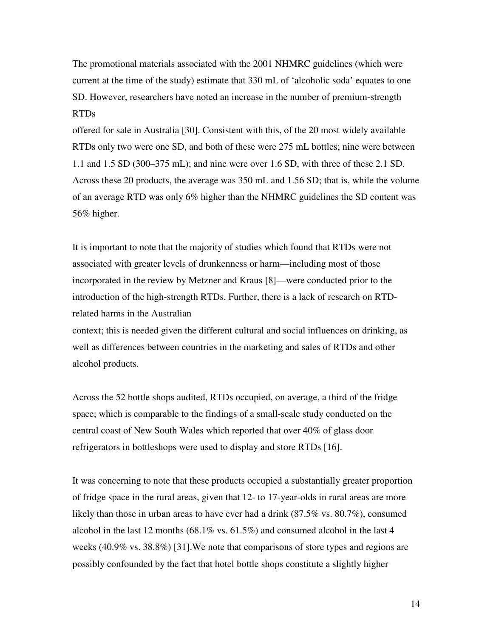The promotional materials associated with the 2001 NHMRC guidelines (which were current at the time of the study) estimate that 330 mL of 'alcoholic soda' equates to one SD. However, researchers have noted an increase in the number of premium-strength RTDs

offered for sale in Australia [30]. Consistent with this, of the 20 most widely available RTDs only two were one SD, and both of these were 275 mL bottles; nine were between 1.1 and 1.5 SD (300–375 mL); and nine were over 1.6 SD, with three of these 2.1 SD. Across these 20 products, the average was 350 mL and 1.56 SD; that is, while the volume of an average RTD was only 6% higher than the NHMRC guidelines the SD content was 56% higher.

It is important to note that the majority of studies which found that RTDs were not associated with greater levels of drunkenness or harm—including most of those incorporated in the review by Metzner and Kraus [8]—were conducted prior to the introduction of the high-strength RTDs. Further, there is a lack of research on RTDrelated harms in the Australian

context; this is needed given the different cultural and social influences on drinking, as well as differences between countries in the marketing and sales of RTDs and other alcohol products.

Across the 52 bottle shops audited, RTDs occupied, on average, a third of the fridge space; which is comparable to the findings of a small-scale study conducted on the central coast of New South Wales which reported that over 40% of glass door refrigerators in bottleshops were used to display and store RTDs [16].

It was concerning to note that these products occupied a substantially greater proportion of fridge space in the rural areas, given that 12- to 17-year-olds in rural areas are more likely than those in urban areas to have ever had a drink (87.5% vs. 80.7%), consumed alcohol in the last 12 months  $(68.1\% \text{ vs. } 61.5\%)$  and consumed alcohol in the last 4 weeks (40.9% vs. 38.8%) [31].We note that comparisons of store types and regions are possibly confounded by the fact that hotel bottle shops constitute a slightly higher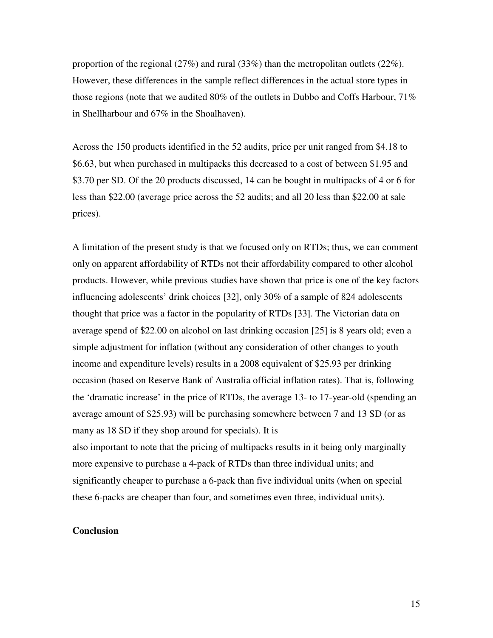proportion of the regional (27%) and rural (33%) than the metropolitan outlets (22%). However, these differences in the sample reflect differences in the actual store types in those regions (note that we audited 80% of the outlets in Dubbo and Coffs Harbour, 71% in Shellharbour and 67% in the Shoalhaven).

Across the 150 products identified in the 52 audits, price per unit ranged from \$4.18 to \$6.63, but when purchased in multipacks this decreased to a cost of between \$1.95 and \$3.70 per SD. Of the 20 products discussed, 14 can be bought in multipacks of 4 or 6 for less than \$22.00 (average price across the 52 audits; and all 20 less than \$22.00 at sale prices).

A limitation of the present study is that we focused only on RTDs; thus, we can comment only on apparent affordability of RTDs not their affordability compared to other alcohol products. However, while previous studies have shown that price is one of the key factors influencing adolescents' drink choices [32], only 30% of a sample of 824 adolescents thought that price was a factor in the popularity of RTDs [33]. The Victorian data on average spend of \$22.00 on alcohol on last drinking occasion [25] is 8 years old; even a simple adjustment for inflation (without any consideration of other changes to youth income and expenditure levels) results in a 2008 equivalent of \$25.93 per drinking occasion (based on Reserve Bank of Australia official inflation rates). That is, following the 'dramatic increase' in the price of RTDs, the average 13- to 17-year-old (spending an average amount of \$25.93) will be purchasing somewhere between 7 and 13 SD (or as many as 18 SD if they shop around for specials). It is also important to note that the pricing of multipacks results in it being only marginally more expensive to purchase a 4-pack of RTDs than three individual units; and

significantly cheaper to purchase a 6-pack than five individual units (when on special these 6-packs are cheaper than four, and sometimes even three, individual units).

#### **Conclusion**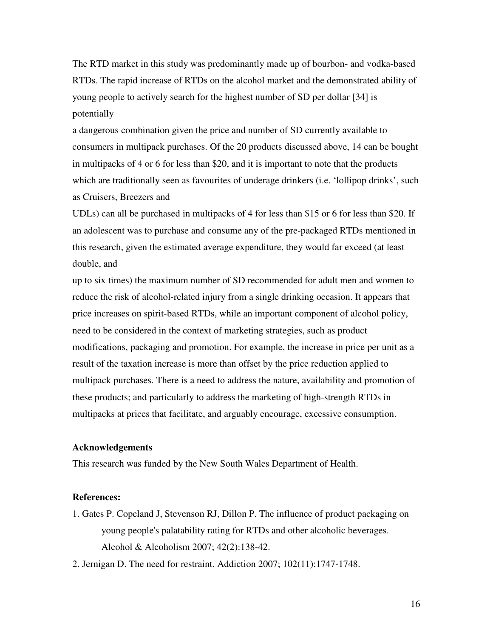The RTD market in this study was predominantly made up of bourbon- and vodka-based RTDs. The rapid increase of RTDs on the alcohol market and the demonstrated ability of young people to actively search for the highest number of SD per dollar [34] is potentially

a dangerous combination given the price and number of SD currently available to consumers in multipack purchases. Of the 20 products discussed above, 14 can be bought in multipacks of 4 or 6 for less than \$20, and it is important to note that the products which are traditionally seen as favourites of underage drinkers (i.e. 'lollipop drinks', such as Cruisers, Breezers and

UDLs) can all be purchased in multipacks of 4 for less than \$15 or 6 for less than \$20. If an adolescent was to purchase and consume any of the pre-packaged RTDs mentioned in this research, given the estimated average expenditure, they would far exceed (at least double, and

up to six times) the maximum number of SD recommended for adult men and women to reduce the risk of alcohol-related injury from a single drinking occasion. It appears that price increases on spirit-based RTDs, while an important component of alcohol policy, need to be considered in the context of marketing strategies, such as product modifications, packaging and promotion. For example, the increase in price per unit as a result of the taxation increase is more than offset by the price reduction applied to multipack purchases. There is a need to address the nature, availability and promotion of these products; and particularly to address the marketing of high-strength RTDs in multipacks at prices that facilitate, and arguably encourage, excessive consumption.

### **Acknowledgements**

This research was funded by the New South Wales Department of Health.

#### **References:**

- 1. Gates P. Copeland J, Stevenson RJ, Dillon P. The influence of product packaging on young people's palatability rating for RTDs and other alcoholic beverages. Alcohol & Alcoholism 2007; 42(2):138-42.
- 2. Jernigan D. The need for restraint. Addiction 2007; 102(11):1747-1748.

16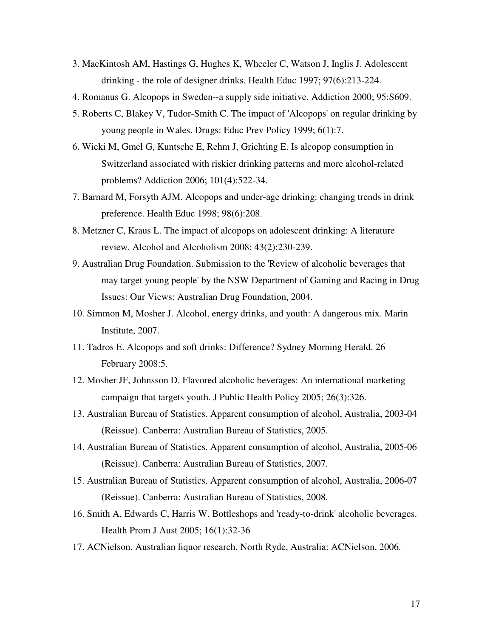- 3. MacKintosh AM, Hastings G, Hughes K, Wheeler C, Watson J, Inglis J. Adolescent drinking - the role of designer drinks. Health Educ 1997; 97(6):213-224.
- 4. Romanus G. Alcopops in Sweden--a supply side initiative. Addiction 2000; 95:S609.
- 5. Roberts C, Blakey V, Tudor-Smith C. The impact of 'Alcopops' on regular drinking by young people in Wales. Drugs: Educ Prev Policy 1999; 6(1):7.
- 6. Wicki M, Gmel G, Kuntsche E, Rehm J, Grichting E. Is alcopop consumption in Switzerland associated with riskier drinking patterns and more alcohol-related problems? Addiction 2006; 101(4):522-34.
- 7. Barnard M, Forsyth AJM. Alcopops and under-age drinking: changing trends in drink preference. Health Educ 1998; 98(6):208.
- 8. Metzner C, Kraus L. The impact of alcopops on adolescent drinking: A literature review. Alcohol and Alcoholism 2008; 43(2):230-239.
- 9. Australian Drug Foundation. Submission to the 'Review of alcoholic beverages that may target young people' by the NSW Department of Gaming and Racing in Drug Issues: Our Views: Australian Drug Foundation, 2004.
- 10. Simmon M, Mosher J. Alcohol, energy drinks, and youth: A dangerous mix. Marin Institute, 2007.
- 11. Tadros E. Alcopops and soft drinks: Difference? Sydney Morning Herald. 26 February 2008:5.
- 12. Mosher JF, Johnsson D. Flavored alcoholic beverages: An international marketing campaign that targets youth. J Public Health Policy 2005; 26(3):326.
- 13. Australian Bureau of Statistics. Apparent consumption of alcohol, Australia, 2003-04 (Reissue). Canberra: Australian Bureau of Statistics, 2005.
- 14. Australian Bureau of Statistics. Apparent consumption of alcohol, Australia, 2005-06 (Reissue). Canberra: Australian Bureau of Statistics, 2007.
- 15. Australian Bureau of Statistics. Apparent consumption of alcohol, Australia, 2006-07 (Reissue). Canberra: Australian Bureau of Statistics, 2008.
- 16. Smith A, Edwards C, Harris W. Bottleshops and 'ready-to-drink' alcoholic beverages. Health Prom J Aust 2005; 16(1):32-36
- 17. ACNielson. Australian liquor research. North Ryde, Australia: ACNielson, 2006.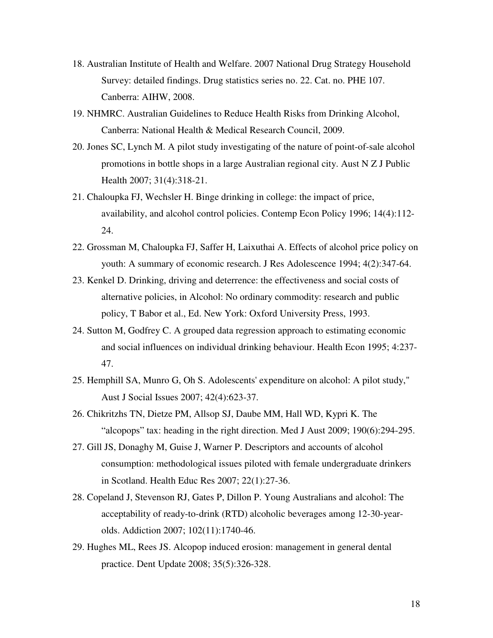- 18. Australian Institute of Health and Welfare. 2007 National Drug Strategy Household Survey: detailed findings. Drug statistics series no. 22. Cat. no. PHE 107. Canberra: AIHW, 2008.
- 19. NHMRC. Australian Guidelines to Reduce Health Risks from Drinking Alcohol, Canberra: National Health & Medical Research Council, 2009.
- 20. Jones SC, Lynch M. A pilot study investigating of the nature of point-of-sale alcohol promotions in bottle shops in a large Australian regional city. Aust N Z J Public Health 2007; 31(4):318-21.
- 21. Chaloupka FJ, Wechsler H. Binge drinking in college: the impact of price, availability, and alcohol control policies. Contemp Econ Policy 1996; 14(4):112- 24.
- 22. Grossman M, Chaloupka FJ, Saffer H, Laixuthai A. Effects of alcohol price policy on youth: A summary of economic research. J Res Adolescence 1994; 4(2):347-64.
- 23. Kenkel D. Drinking, driving and deterrence: the effectiveness and social costs of alternative policies, in Alcohol: No ordinary commodity: research and public policy, T Babor et al., Ed. New York: Oxford University Press, 1993.
- 24. Sutton M, Godfrey C. A grouped data regression approach to estimating economic and social influences on individual drinking behaviour. Health Econ 1995; 4:237- 47.
- 25. Hemphill SA, Munro G, Oh S. Adolescents' expenditure on alcohol: A pilot study," Aust J Social Issues 2007; 42(4):623-37.
- 26. Chikritzhs TN, Dietze PM, Allsop SJ, Daube MM, Hall WD, Kypri K. The "alcopops" tax: heading in the right direction. Med J Aust 2009; 190(6):294-295.
- 27. Gill JS, Donaghy M, Guise J, Warner P. Descriptors and accounts of alcohol consumption: methodological issues piloted with female undergraduate drinkers in Scotland. Health Educ Res 2007; 22(1):27-36.
- 28. Copeland J, Stevenson RJ, Gates P, Dillon P. Young Australians and alcohol: The acceptability of ready-to-drink (RTD) alcoholic beverages among 12-30-yearolds. Addiction 2007; 102(11):1740-46.
- 29. Hughes ML, Rees JS. Alcopop induced erosion: management in general dental practice. Dent Update 2008; 35(5):326-328.